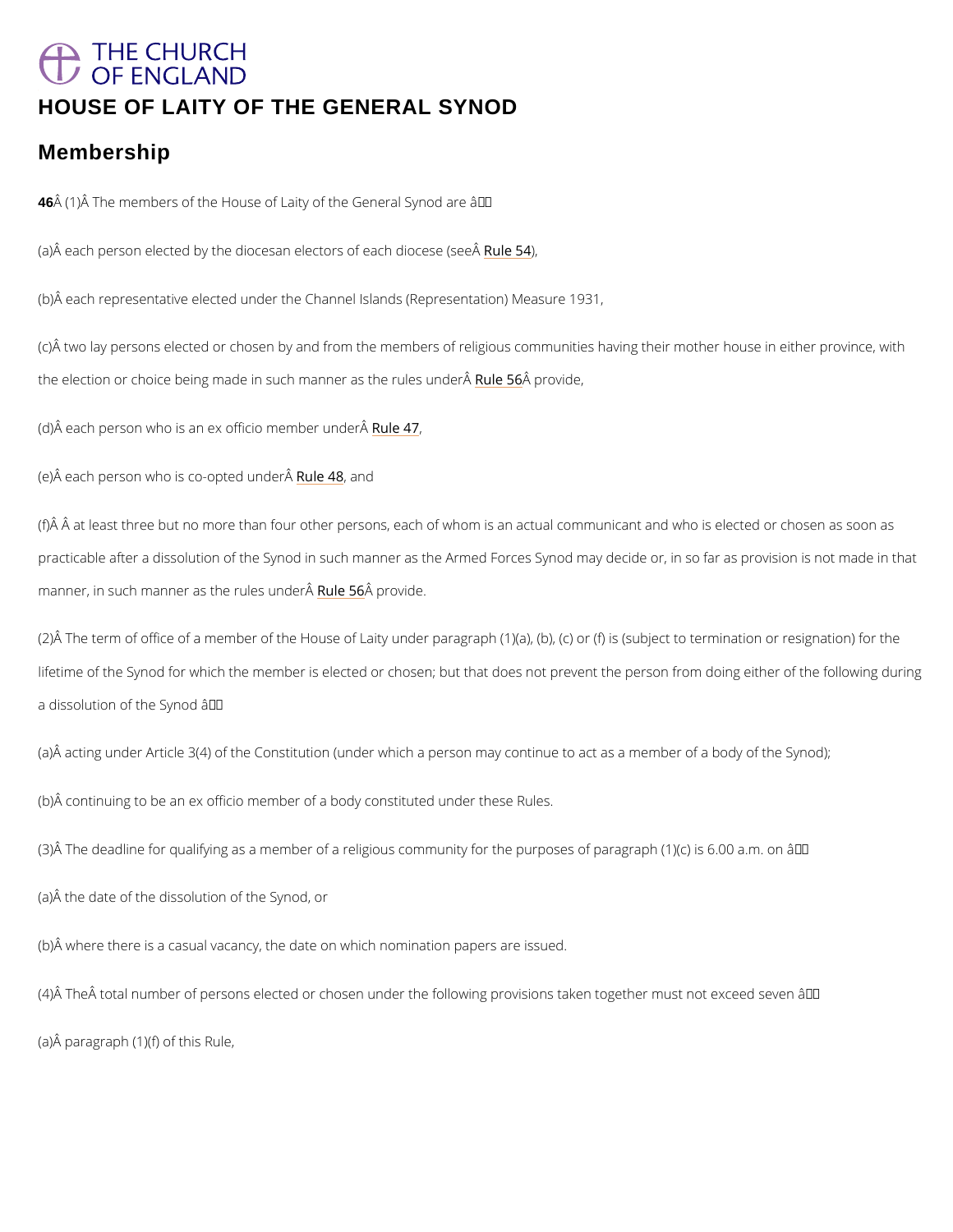# <span id="page-0-0"></span>THE CHURCH OF ENGLAND [HOUSE OF LAITY OF THE GENERAL SYNOD](/var/www/www.churchofengland.org/web/contents.htm#ch5)

### Membership

46 Å (1)  $\AA$  The members of the House of Laity of the General Synod are â $\epsilon$ "

(a) $\hat{A}$  each person elected by the diocesan ele $\Re$ twolres) $\Im A$  each diocese (see $\hat{A}$ 

(b)Â each representative elected under the Channel Islands (Representation) Measure 1931,

(c)Â two lay persons elected or chosen by and from the members of religious communities ha the election or choice being made in such maRnuml**e**r **A**sager the drew, les under A

(d) $\hat{A}$  each person who is an ex offi $\hat{R}$  under under  $\hat{A}$ 

(e) $\hat{A}$  each person who is coR-wolpete4d8 nudation  $\hat{A}$ 

(f) $\hat{A}$   $\hat{A}$  at least three but no more than four other persons, each of whom is an actual commun practicable after a dissolution of the Synod in such manner as the Armed Forces Synod may  $m$ anner, in such manner as t $R$ alreu $\hat{\bm{k}}$ e Gorwordde e $\hat{\bm{\mathsf{A}}}$ 

(2)Å The term of office of a member of the House of Laity under paragraph (1)(a), (b), (c) or lifetime of the Synod for which the member is elected or chosen; but that does not prevent th a dissolution of the Synod  $\hat{a} \in \hat{ }$ 

(a) $\hat{A}$  acting under Article 3(4) of the Constitution (under which a person may continue to act

(b)Â continuing to be an ex officio member of a body constituted under these Rules.

(3) $\hat{A}$  The deadline for qualifying as a member of a religious community for the purposes of pa

(a)Â the date of the dissolution of the Synod, or

(b)Â where there is a casual vacancy, the date on which nomination papers are issued.

(4) $\hat{\sf A}$  The $\hat{\sf A}$  total number of persons elected or chosen under the following provisions taken to

(a)Â paragraph (1)(f) of this Rule,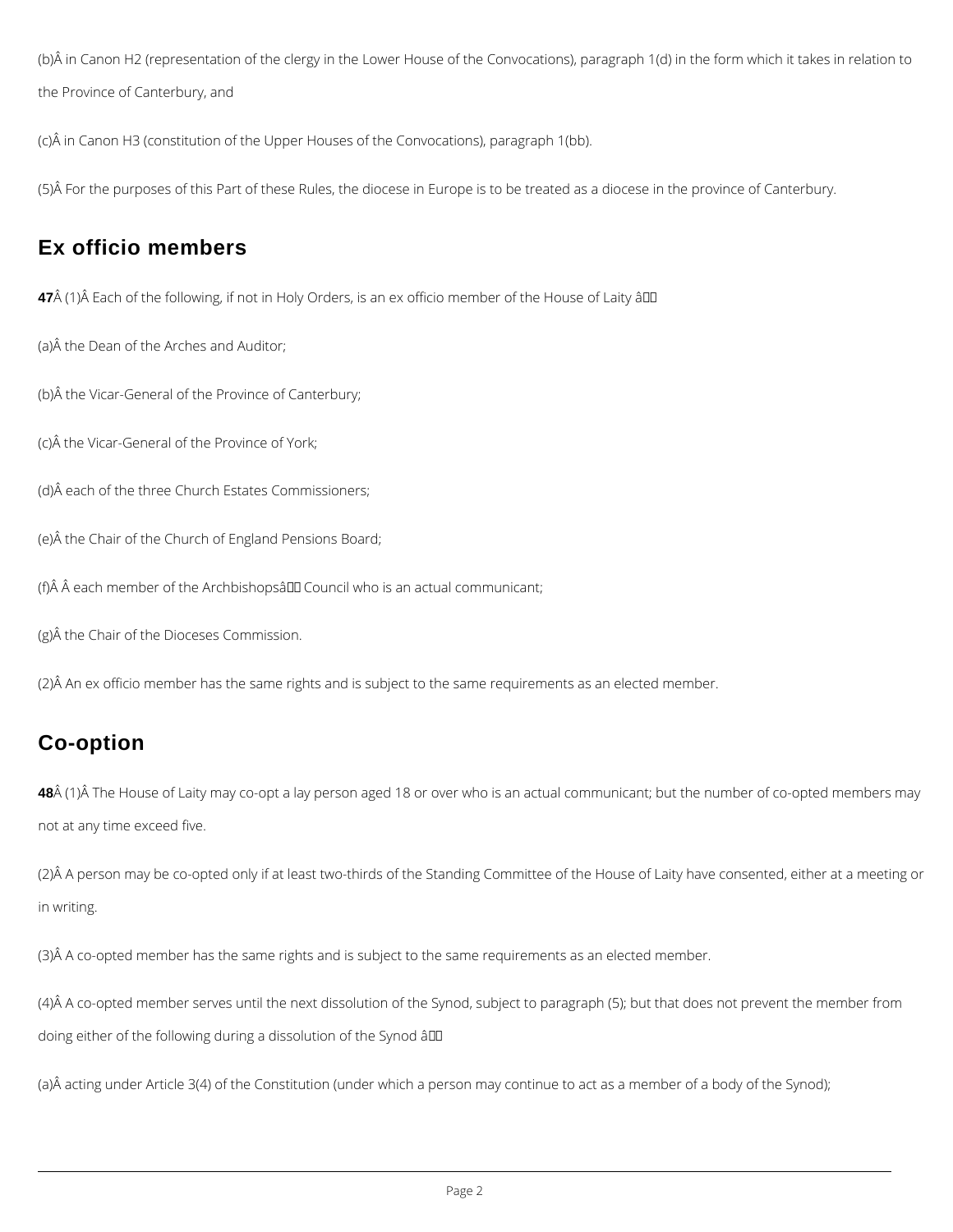<span id="page-1-0"></span>(b)Â in Canon H2 (representation of the clergy in the Lower House of the Convocations), paragraph 1(d) in the form which it takes in relation to the Province of Canterbury, and

(c)Â in Canon H3 (constitution of the Upper Houses of the Convocations), paragraph 1(bb).

(5)Â For the purposes of this Part of these Rules, the diocese in Europe is to be treated as a diocese in the province of Canterbury.

# **Ex officio members**

**47** (1)Â Each of the following, if not in Holy Orders, is an ex officio member of the House of Laity â00

(a)Â the Dean of the Arches and Auditor;

48 $\hat{A}$  (1) $\hat{A}$  The House of Laity may co-opt a lay person aged 18 or over who is an actual communicant; but the number of co-opted members may not at any time exceed five.

(b)Â the Vicar-General of the Province of Canterbury;

(c)Â the Vicar-General of the Province of York;

(d)Â each of the three Church Estates Commissioners;

(e)Â the Chair of the Church of England Pensions Board;

(f) $\hat{A}$   $\hat{A}$  each member of the Archbishops  $\hat{A}$  Council who is an actual communicant;

(g)Â the Chair of the Dioceses Commission.

(2)Â An ex officio member has the same rights and is subject to the same requirements as an elected member.

# **Co-option**

(2)Â A person may be co-opted only if at least two-thirds of the Standing Committee of the House of Laity have consented, either at a meeting or in writing.

(3)Â A co-opted member has the same rights and is subject to the same requirements as an elected member.

(4)Â A co-opted member serves until the next dissolution of the Synod, subject to paragraph (5); but that does not prevent the member from

doing either of the following during a dissolution of the Synod â

(a)Â acting under Article 3(4) of the Constitution (under which a person may continue to act as a member of a body of the Synod);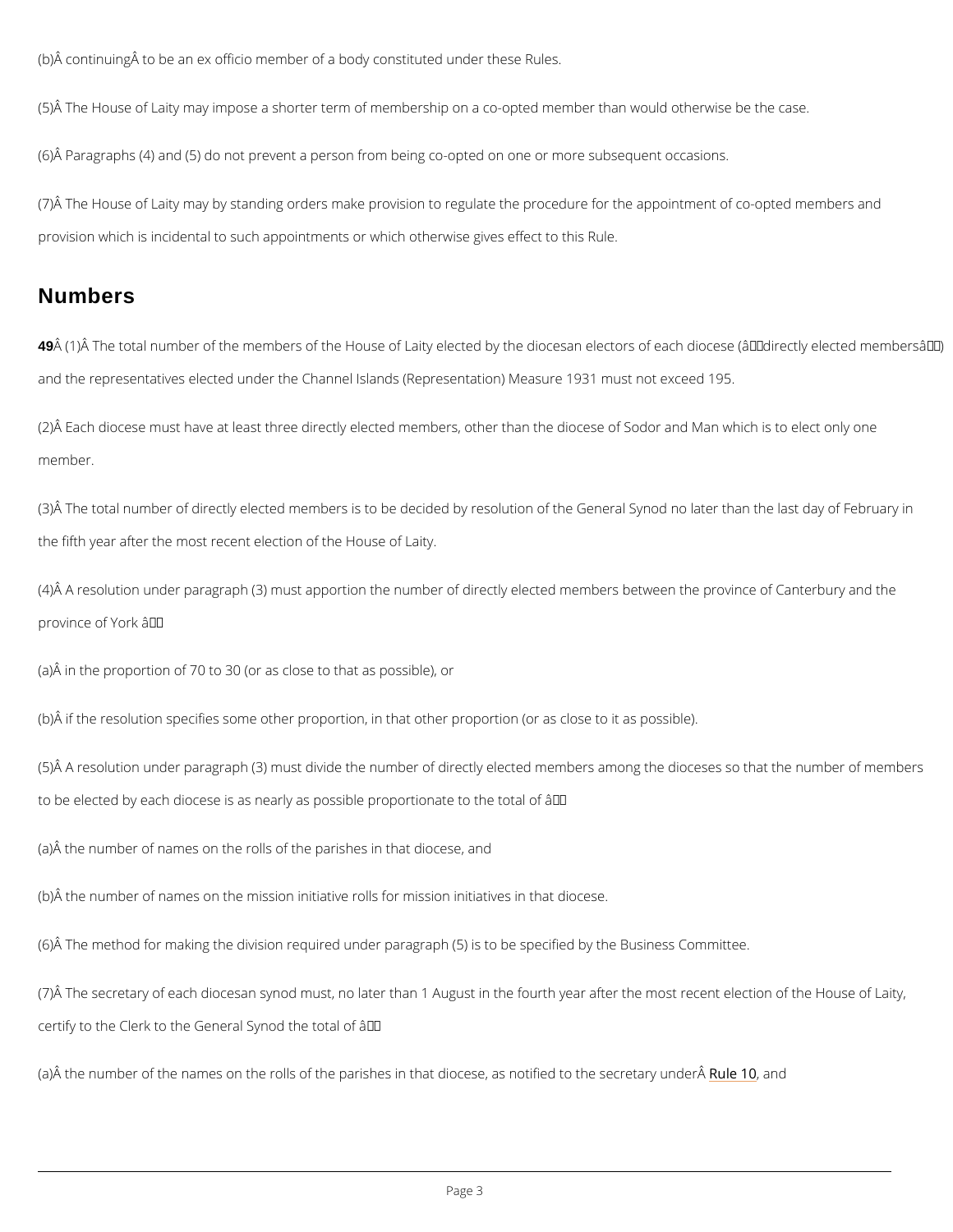(b) $\hat{A}$  continuing $\hat{A}$  to be an ex officio member of a body constituted under these Rules.

(5)Â The House of Laity may impose a shorter term of membership on a co-opted member tha

(6)Â Paragraphs (4) and (5) do not prevent a person from being co-opted on one or more sub

(7)Â The House of Laity may by standing orders make provision to regulate the procedure for provision which is incidental to such appointments or which otherwise gives effect to this Ru

(2)Â Each diocese must have at least three directly elected members, other than the diocese member.

#### Numbers

49 Å (1) Å The total number of the members of the House of Laity elected by the diocesan elect and the representatives elected under the Channel Islands (Representation) Measure 1931 m

(3)Å The total number of directly elected members is to be decided by resolution of the Gene the fifth year after the most recent election of the House of Laity.

(4)Â A resolution under paragraph (3) must apportion the number of directly elected members province of York  $\hat{a} \in$ "

(a)Â in the proportion of 70 to 30 (or as close to that as possible), or

(b) $\hat{A}$  if the resolution specifies some other proportion, in that other proportion (or as close t

(5)Å A resolution under paragraph (3) must divide the number of directly elected members an to be elected by each diocese is as nearly as possible proportionate to the total of  $\hat{a} \in ``$ 

(a)Â the number of names on the rolls of the parishes in that diocese, and

(b)Â the number of names on the mission initiative rolls for mission initiatives in that diocese.

(6)Å The method for making the division required under paragraph (5) is to be specified by the  $\beta$ 

(7) $\hat{A}$  The secretary of each diocesan synod must, no later than 1 August in the fourth year af

certify to the Clerk to the General Synod the total of  $\hat{a} \in$ "

(a)Å the number of the names on the rolls of the parishes in that dio $\mathcal{R}$ ebe,18 adnotified to the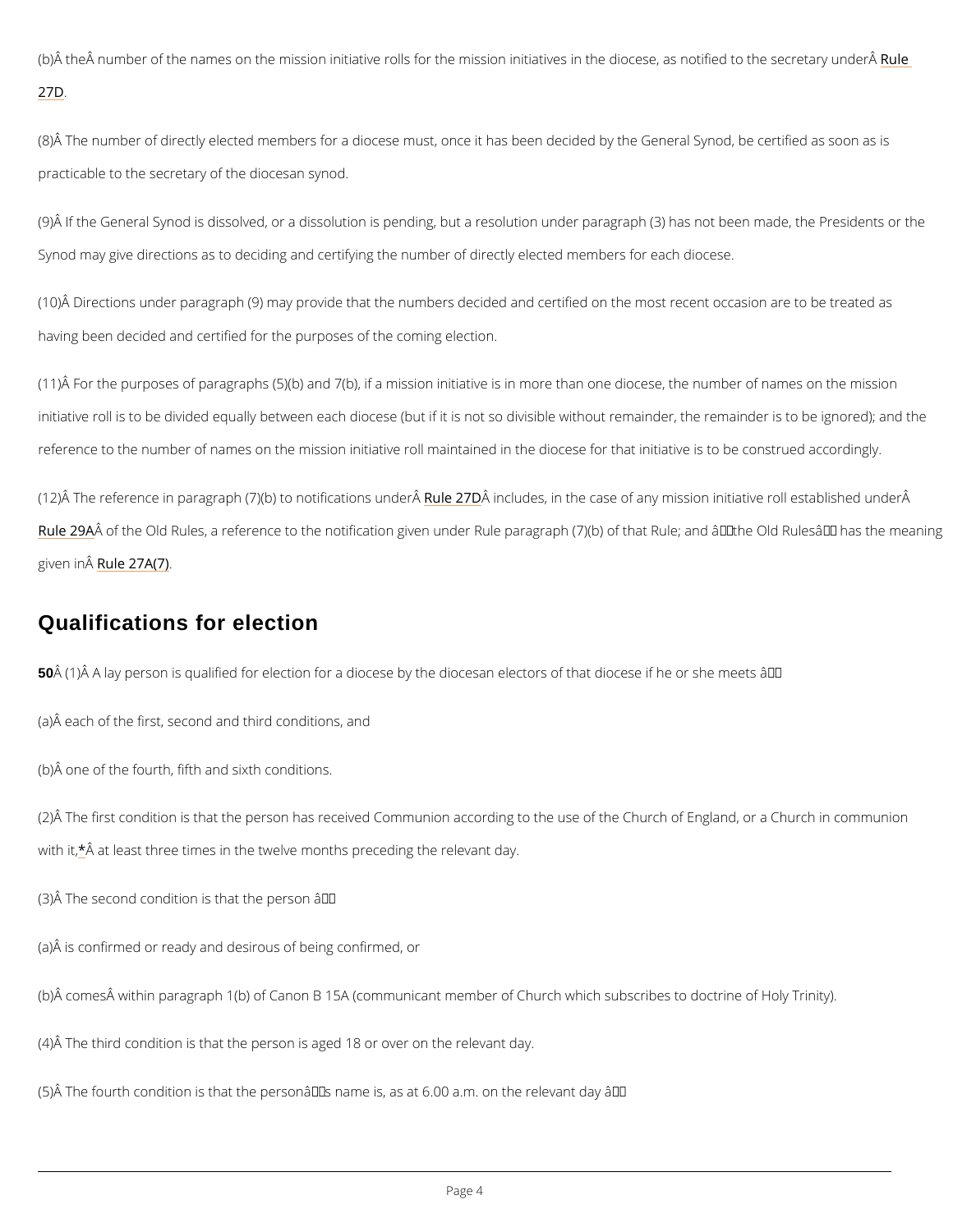<span id="page-3-0"></span>(b) $\hat{\sf A}$  the $\hat{\sf A}$  number of the names on the mission initiative rolls for the mission initiativ $\bf e$ sule th [27](/var/www/www.churchofengland.org/web/part_3_deanery_synods_rules_14_to_28.htm#r27D)D.

(8) $\hat{\sf A}$  The number of directly elected members for a diocese must, once it has been decided by practicable to the secretary of the diocesan synod.

(9)Â If the General Synod is dissolved, or a dissolution is pending, but a resolution under pa Synod may give directions as to deciding and certifying the number of directly elected memb

(10) $\hat{A}$  Directions under paragraph (9) may provide that the numbers decided and certified on having been decided and certified for the purposes of the coming election.

(11) $\mathring{A}$  For the purposes of paragraphs (5)(b) and 7(b), if a mission initiative is in more than initiative roll is to be divided equally between each diocese (but if it is not so divisible with reference to the number of names on the mission initiative roll maintained in the diocese for

(12)Â The reference in paragraph (7)(b) $R$ tuden $\hat{a}$ PrilDinccaltuidomes, uindtehre case of any mission initiative Rule  $2^{6}$   $\theta$  f the Old Rules, a reference to the notification given under Rule paragraph (7)(b) of given  $Rn\hat{A}e 27A(7)$ 

#### Qualifications for election

50  $\rm \AA$  (1)  $\rm \AA$  A lay person is qualified for election for a diocese by the diocesan electors of that

(a)Â each of the first, second and third conditions, and

(b)Â one of the fourth, fifth and sixth conditions.

(2) $\rm \AA$  The first condition is that the person has received Communion according to the use of t with $\hat{A}$ , at least three times in the twelve months preceding the relevant day.

(3)  $\hat{A}$  The second condition is that the person  $\hat{a} \in \hat{B}$ 

(a)Â is confirmed or ready and desirous of being confirmed, or

(b) comes within paragraph 1(b) of Canon B 15A (communicant member of Church which su

(4)Â The third condition is that the person is aged 18 or over on the relevant day.

(5)Å The fourth condition is that the personâ $\in$   $\mathbb {M}$ s name is, as at 6.00 a.m. on the relevant da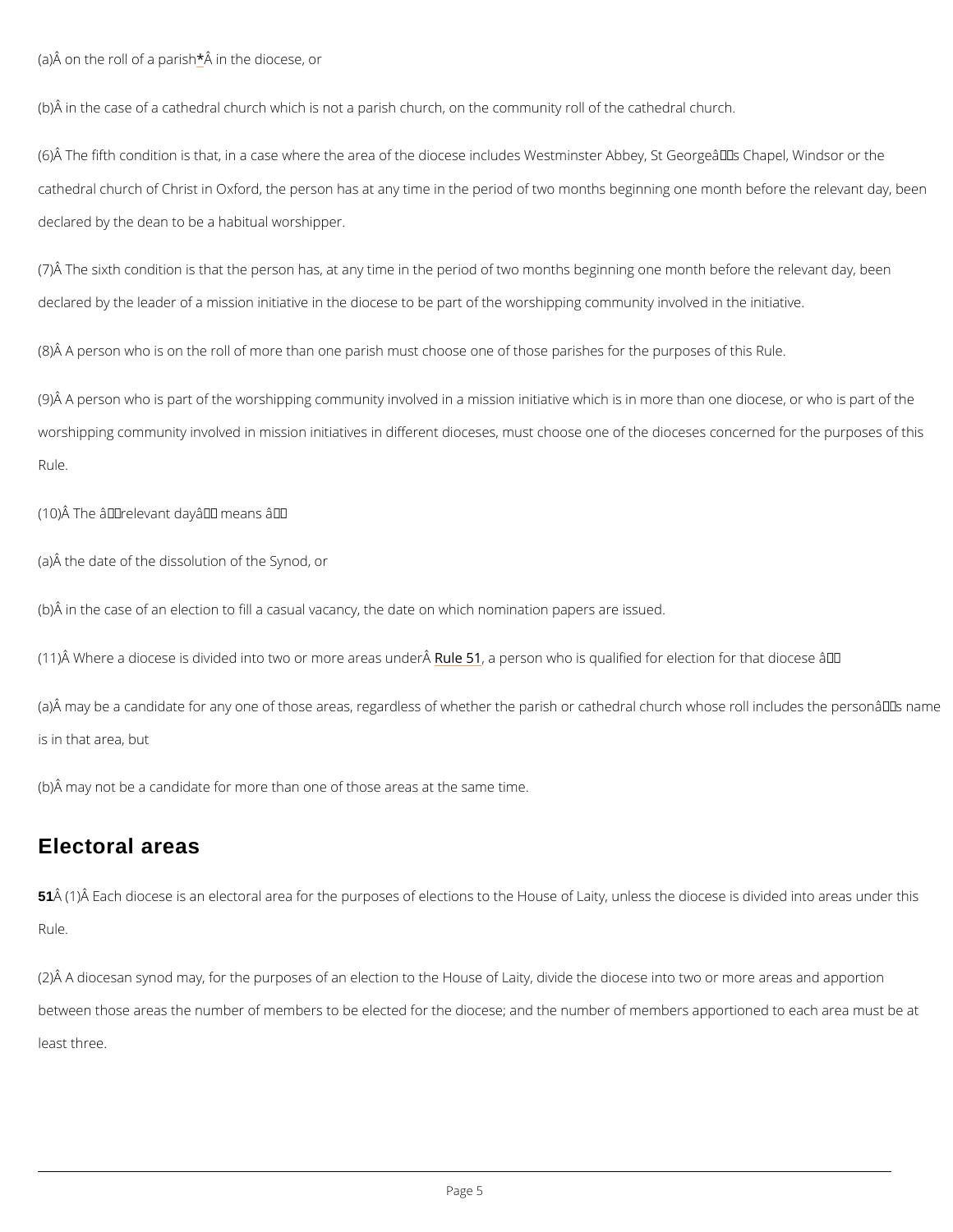<span id="page-4-0"></span> $(a)$  on the roll  $\delta$  anptahreis dhiocese, [o](#page-8-0)r

(b) $\hat{A}$  in the case of a cathedral church which is not a parish church, on the community roll of

 $(6)$   $\hat{A}$  The fifth condition is that, in a case where the area of the diocese includes Westminste cathedral church of Christ in Oxford, the person has at any time in the period of two months declared by the dean to be a habitual worshipper.

(7) $\hat{A}$  The sixth condition is that the person has, at any time in the period of two months begi declared by the leader of a mission initiative in the diocese to be part of the worshipping co

 $(8)$  A person who is on the roll of more than one parish must choose one of those parishes

(9)Ã A person who is part of the worshipping community involved in a mission initiative whicl worshipping community involved in mission initiatives in different dioceses, must choose one Rule.

 $(10)$  The â€~relevant day' means –

(a) $\hat{\sf A}$  may be a candidate for any one of those areas, regardless of whether the parish or cath is in that area, but

(a)Â the date of the dissolution of the Synod, or

(b) $\tilde{A}$  in the case of an election to fill a casual vacancy, the date on which nomination papers

(11) $\hat{A}$  Where a diocese is divided into tw $\bf R$ ude  $\bf \bar m$  of reease as wuhnodes  $\hat{A}$ qualified for election for that

(b)Â may not be a candidate for more than one of those areas at the same time.

#### Electoral areas

51Â (1)Â Each diocese is an electoral area for the purposes of elections to the House of Laity

(2) $\hat{A}$  A diocesan synod may, for the purposes of an election to the House of Laity, divide the

between those areas the number of members to be elected for the diocese; and the number o

least three.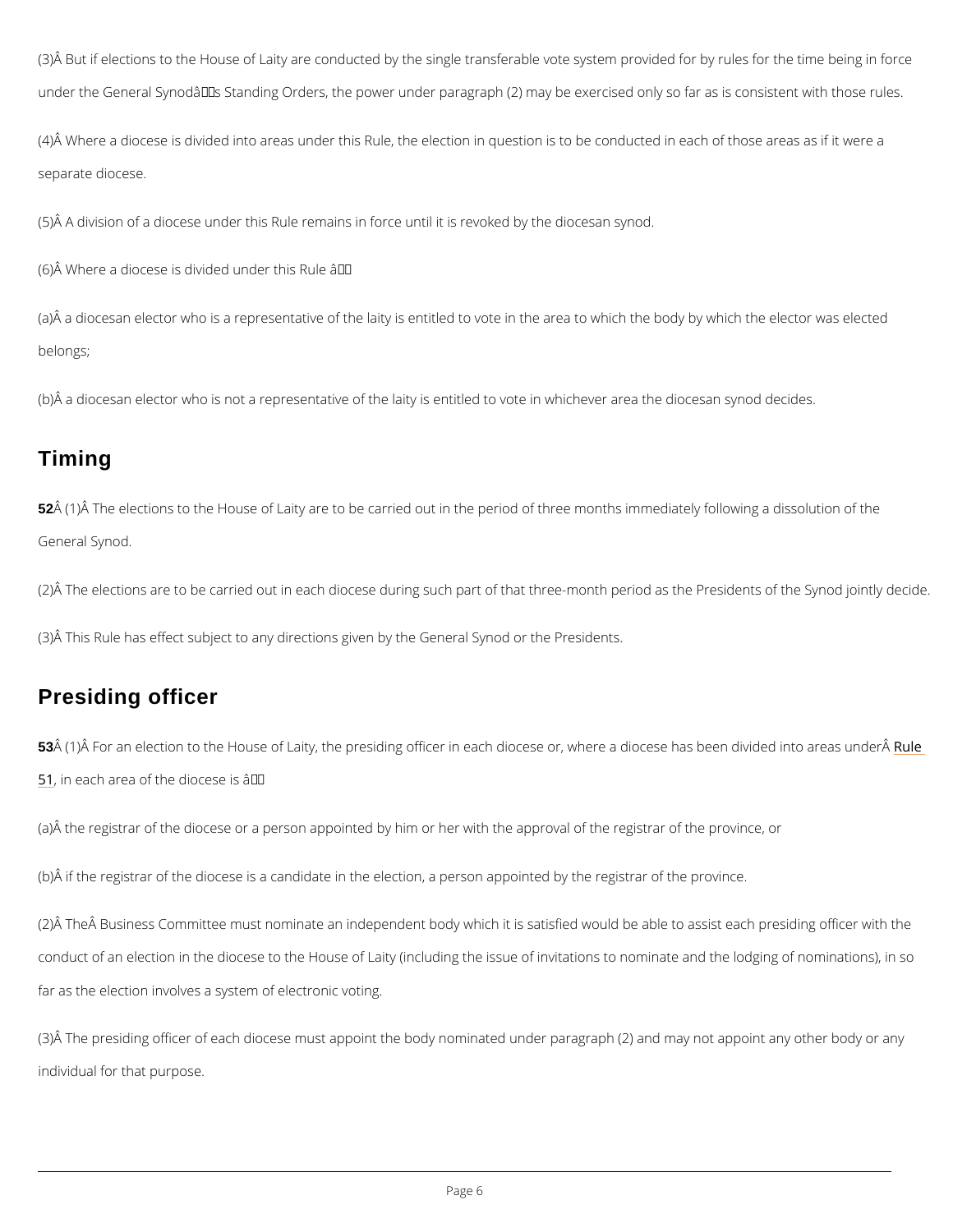<span id="page-5-0"></span>(3)Å But if elections to the House of Laity are conducted by the single transferable vote syst under the General Synod's Standing Orders, the power under paragraph (2) may be exerci

 $(4)$  Where a diocese is divided into areas under this Rule, the election in question is to be separate diocese.

(5) $\hat{\sf A}$  A division of a diocese under this Rule remains in force until it is revoked by the dioce:

(6) $\hat{A}$  Where a diocese is divided under this Rule â $\epsilon$ "

(a) $\hat{A}$  a diocesan elector who is a representative of the laity is entitled to vote in the area to belongs;

(b) $\hat{\mathsf{A}}$  a diocesan elector who is not a representative of the laity is entitled to vote in whichev

52Â (1)Â The elections to the House of Laity are to be carried out in the period of three mont General Synod.

(2)Å The elections are to be carried out in each diocese during such part of that three-month

 $(3)$  This Rule has effect subject to any directions given by the General Synod or the Presid

### Timing

(3) $\hat{A}$  The presiding officer of each diocese must appoint the body nominated under paragraph individual for that purpose.

#### Presiding officer

53 $\hat{A}$  (1) $\hat{A}$  For an election to the House of Laity, the presiding officer in each diocese or, Rwheer [51](#page-4-0), in each area of the diocese is  $\hat{a} \in$ "

(a) $\tilde{A}$  the registrar of the diocese or a person appointed by him or her with the approval of the

(b) $\hat{A}$  if the registrar of the diocese is a candidate in the election, a person appointed by the

(2) A The A Business Committee must nominate an independent body which it is satisfied woul

conduct of an election in the diocese to the House of Laity (including the issue of invitations

far as the election involves a system of electronic voting.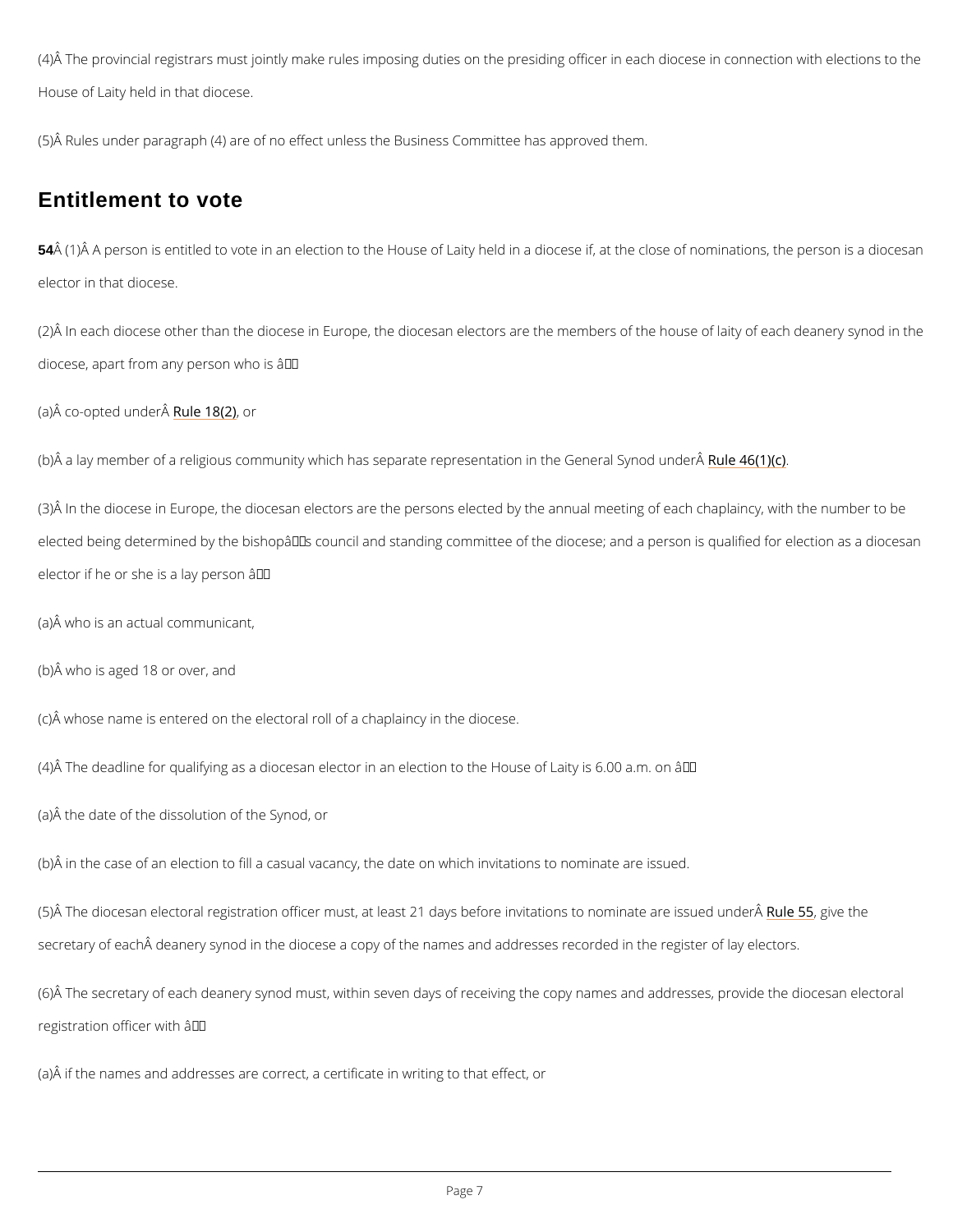<span id="page-6-0"></span>(4)Å The provincial registrars must jointly make rules imposing duties on the presiding office House of Laity held in that diocese.

(5)Å Rules under paragraph (4) are of no effect unless the Business Committee has approved

 $54\,\hat{\rm A}$  (1) $\hat{\rm A}$  A person is entitled to vote in an election to the House of Laity held in a diocese if elector in that diocese.

(2)Å In each diocese other than the diocese in Europe, the diocesan electors are the member diocese, apart from any person who is  $\hat{a} \in$ "

 $(a)$  Â co-opted Ruunlobe  $\hat{A}$  ( $\hat{Q}$ r)

(b) $\hat{A}$  a lay member of a religious community which has separate repr $\hat{R}$ sud  $B$ t $\hat{A}$   $\hat{B}$ (o1n)(ion) the Genera

(3)Å In the diocese in Europe, the diocesan electors are the persons elected by the annual m elected being determined by the bishopâ $\epsilon$ <sup>TM</sup>s council and standing committee of the diocese; elector if he or she is a lay person  $\hat{a} \in$ "

#### Entitlement to vote

(a)Â who is an actual communicant,

(b)Â who is aged 18 or over, and

(c)Â whose name is entered on the electoral roll of a chaplaincy in the diocese.

 $(4)$   $\hat{A}$  The deadline for qualifying as a diocesan elector in an election to the House of Laity is

(a)Â the date of the dissolution of the Synod, or

(b) $\hat{A}$  in the case of an election to fill a casual vacancy, the date on which invitations to nom

(5)A The diocesan electoral registration officer must, at least 21 days bef<mark>&nuelein5vo5jitva eiolinis</mark> to r

secretary of each  $\hat{A}$  deanery synod in the diocese a copy of the names and addresses recorde

 $(6)$  The secretary of each deanery synod must, within seven days of receiving the copy nam registration officer with  $\hat{a} \in$ "

(a)Â if the names and addresses are correct, a certificate in writing to that effect, or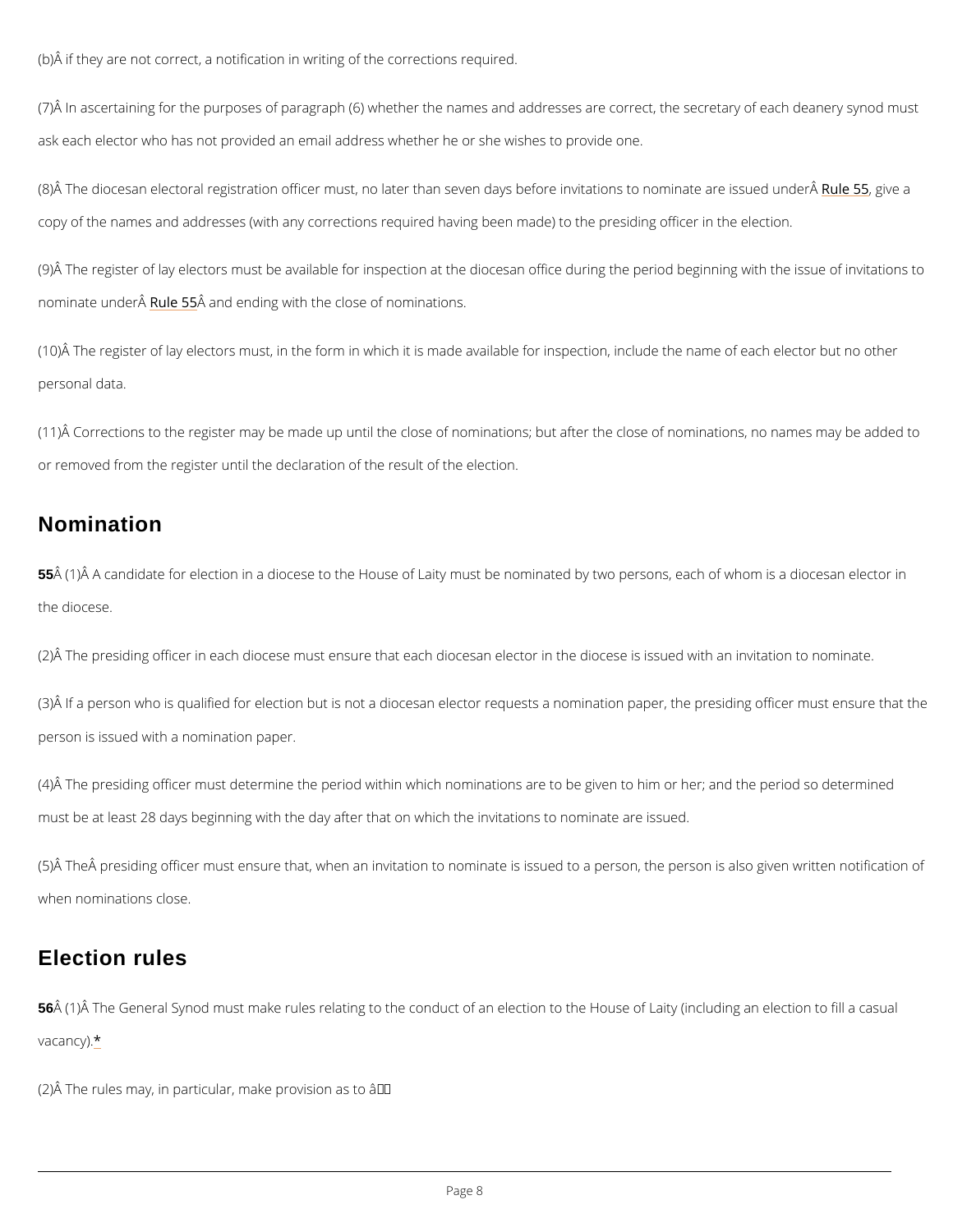<span id="page-7-0"></span>(b)Â if they are not correct, a notification in writing of the corrections required.

(7) $\hat{A}$  In ascertaining for the purposes of paragraph (6) whether the names and addresses are ask each elector who has not provided an email address whether he or she wishes to provide

(8)Å The diocesan electoral registration officer must, no later than seven days <u>bReufloer</u>,nominate investations to nominate are invested under  $\epsilon$  5 and the 1st are issued under  $\epsilon$  5 and 1st at copy of the names and addresses (with any corrections required having been made) to the pr

(9)Â The register of lay electors must be available for inspection at the diocesan office durin nominate un Rule  $R\ddot{\bm{\theta}}$   $\ddot{\bm{\theta}}$  sand ending with the close of nominations.

(10)Å The register of lay electors must, in the form in which it is made available for inspecti personal data.

(11) $\mathring{A}$  Corrections to the register may be made up until the close of nominations; but after th or removed from the register until the declaration of the result of the election.

55 $\hat{A}$  (1) $\hat{A}$  A candidate for election in a diocese to the House of Laity must be nominated by tw the diocese.

(2)Å The presiding officer in each diocese must ensure that each diocesan elector in the dio

(3)Å If a person who is qualified for election but is not a diocesan elector requests a nomina person is issued with a nomination paper.

 $(4)$  The presiding officer must determine the period within which nominations are to be give must be at least 28 days beginning with the day after that on which the invitations to nomina

(5)Å The Åpresiding officer must ensure that, when an invitation to nominate is issued to a p when nominations close.

## Nomination



56Â (1)Â The General Synod must make rules relating to the conduct of an election to the Hou  $v$  aca[nc](#page-9-0)ty).

(2) $\hat{A}$  The rules may, in particular, make provision as to â $\epsilon$ "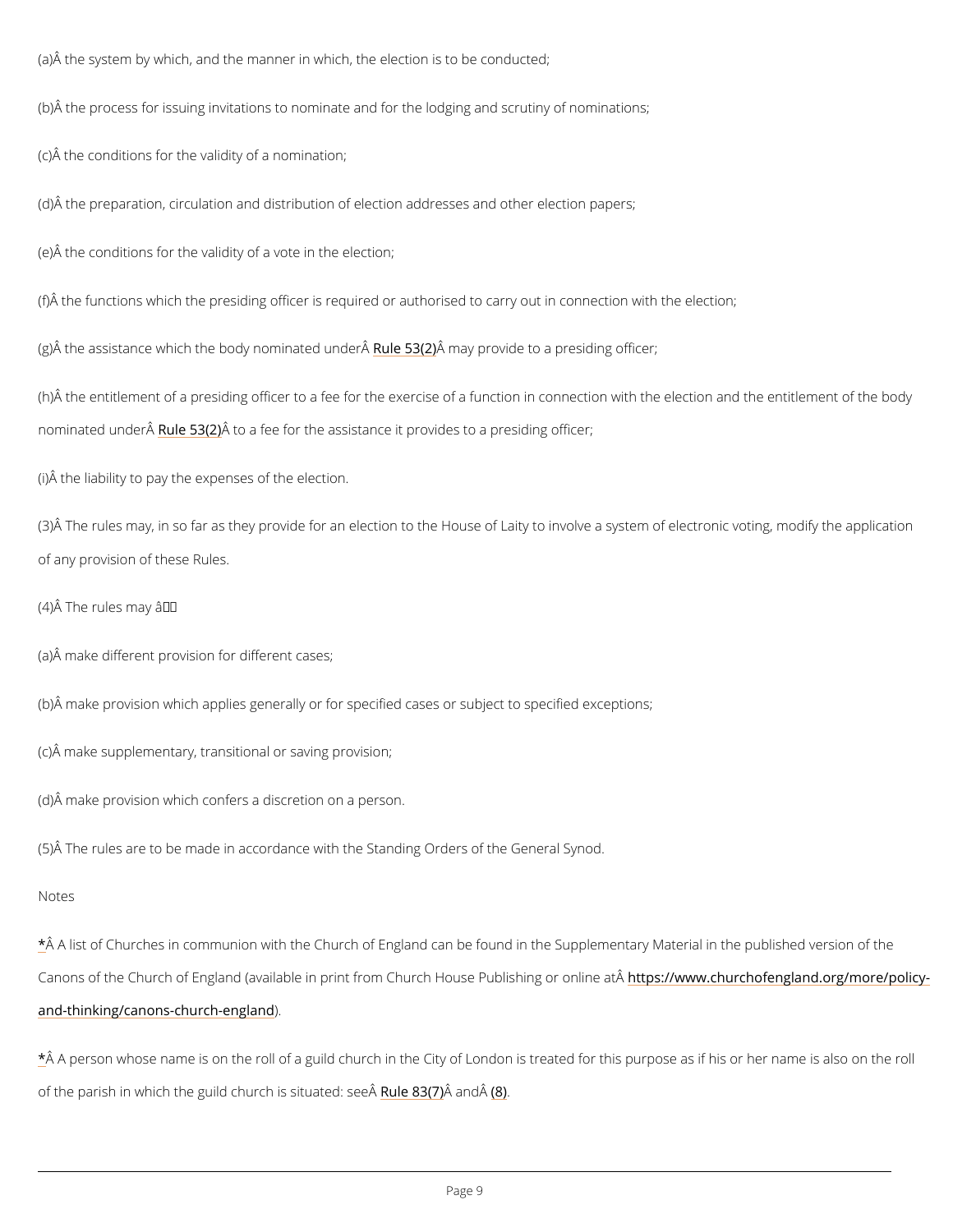<span id="page-8-0"></span>(a)Â the system by which, and the manner in which, the election is to be conducted;

(b) $\hat{A}$  the process for issuing invitations to nominate and for the lodging and scrutiny of nomin

(c)Â the conditions for the validity of a nomination;

(d)Â the preparation, circulation and distribution of election addresses and other election papers;

(e)Â the conditions for the validity of a vote in the election;

(f) $\hat{A}$  the functions which the presiding officer is required or authorised to carry out in conned

(g)Å the assistance which the bodyRunlœm  $\sin 2\theta$  and under  $\sin \theta$  to a presiding officer;

(h)Â the entitlement of a presiding officer to a fee for the exercise of a function in connection nominated un alle  $\tilde{A}$  and  $\tilde{B}$  ( $\tilde{B}$  and fee for the assistance it provides to a presiding officer;

(3) $\rm \AA$  The rules may, in so far as they provide for an election to the House of Laity to involve of any provision of these Rules.

 $(4)$  Å The rules may â $\in$ "

(i)Â the liability to pay the expenses of the election.

(a)Â make different provision for different cases;

(b)Å make provision which applies generally or for specified cases or subject to specified ex

(c)Â make supplementary, transitional or saving provision;

(d)Â make provision which confers a discretion on a person.

(5)Â The rules are to be made in accordance with the Standing Orders of the General Synod.

Notes

[\\*](#page-3-0)Å A list of Churches in communion with the Church of England can be found in the Suppleme

Canons of the Church of England (available in print from Chhattphs Hows are Ruhbulring hing and integation at h

[and-thinking/canons-chu](https://www.churchofengland.org/more/policy-and-thinking/canons-church-england))ch-england

 $\mathring{A}$  A person whose name is on the roll of a guild church in the City of London is treated for t

of the parish in which the guild chuR  $\bm{v}$  hei $\bm{\hat{s}}$  $\bm{\hat{s}}$  $\bm{\hat{s}}$   $\bm{\hat{s}}$   $\bm{\hat{a}}$   $\bm{\hat{u}}$   $\bm{\hat{a}}$   $\bm{\hat{g}}$   $\bm{\hat{e}}$   $\bm{\hat{d}}$  : see  $\bm{\hat{A}}$